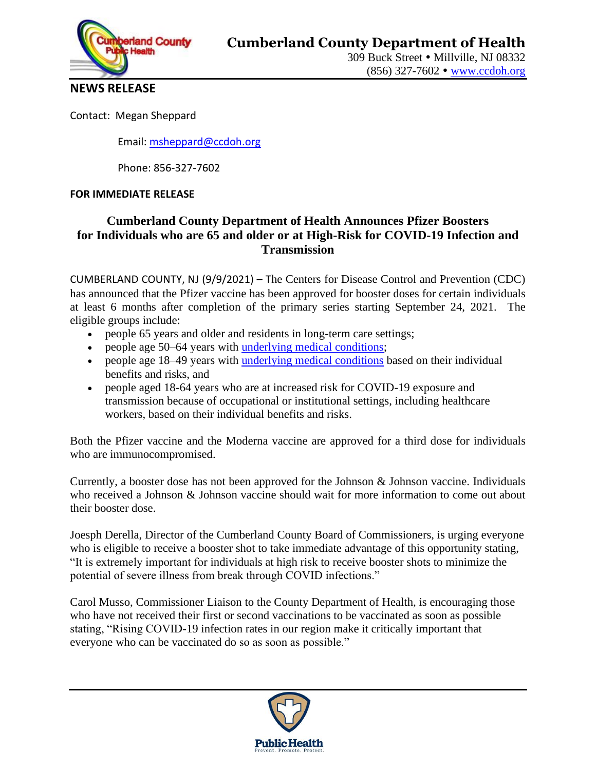

309 Buck Street • Millville, NJ 08332 (856) 327-7602 [www.ccdoh.org](http://www.ccdoh.org/)

**NEWS RELEASE**

Contact: Megan Sheppard

Email: [msheppard@ccdoh.org](mailto:msheppard@ccdoh.org)

Phone: 856-327-7602

#### **FOR IMMEDIATE RELEASE**

### **Cumberland County Department of Health Announces Pfizer Boosters for Individuals who are 65 and older or at High-Risk for COVID-19 Infection and Transmission**

CUMBERLAND COUNTY, NJ (9/9/2021) – The Centers for Disease Control and Prevention (CDC) has announced that the Pfizer vaccine has been approved for booster doses for certain individuals at least 6 months after completion of the primary series starting September 24, 2021. The eligible groups include:

- people 65 years and older and residents in long-term care settings;
- people age 50–64 years with [underlying medical conditions;](https://www.cdc.gov/coronavirus/2019-ncov/need-extra-precautions/people-with-medical-conditions.html)
- people age 18–49 years with [underlying medical conditions](https://www.cdc.gov/coronavirus/2019-ncov/need-extra-precautions/people-with-medical-conditions.html) based on their individual benefits and risks, and
- people aged 18-64 years who are at increased risk for COVID-19 exposure and transmission because of occupational or institutional settings, including healthcare workers, based on their individual benefits and risks.

Both the Pfizer vaccine and the Moderna vaccine are approved for a third dose for individuals who are immunocompromised.

Currently, a booster dose has not been approved for the Johnson & Johnson vaccine. Individuals who received a Johnson & Johnson vaccine should wait for more information to come out about their booster dose.

Joesph Derella, Director of the Cumberland County Board of Commissioners, is urging everyone who is eligible to receive a booster shot to take immediate advantage of this opportunity stating, "It is extremely important for individuals at high risk to receive booster shots to minimize the potential of severe illness from break through COVID infections."

Carol Musso, Commissioner Liaison to the County Department of Health, is encouraging those who have not received their first or second vaccinations to be vaccinated as soon as possible stating, "Rising COVID-19 infection rates in our region make it critically important that everyone who can be vaccinated do so as soon as possible."

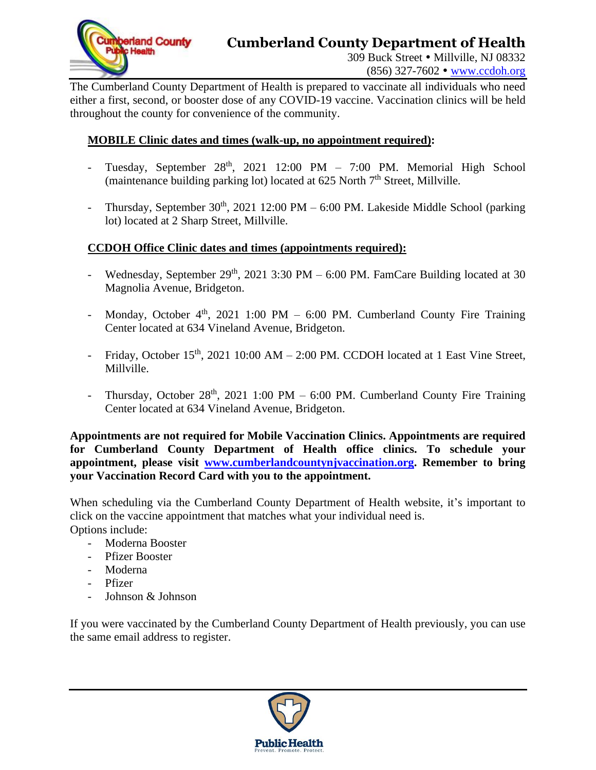

## **Cumberland County Department of Health**

309 Buck Street • Millville, NJ 08332

(856) 327-7602 [www.ccdoh.org](http://www.ccdoh.org/)

The Cumberland County Department of Health is prepared to vaccinate all individuals who need either a first, second, or booster dose of any COVID-19 vaccine. Vaccination clinics will be held throughout the county for convenience of the community.

#### **MOBILE Clinic dates and times (walk-up, no appointment required):**

- Tuesday, September 28<sup>th</sup>, 2021 12:00 PM 7:00 PM. Memorial High School (maintenance building parking lot) located at 625 North 7<sup>th</sup> Street, Millville.
- Thursday, September  $30<sup>th</sup>$ , 2021 12:00 PM 6:00 PM. Lakeside Middle School (parking lot) located at 2 Sharp Street, Millville.

### **CCDOH Office Clinic dates and times (appointments required):**

- Wednesday, September  $29<sup>th</sup>$ ,  $2021$  3:30 PM 6:00 PM. FamCare Building located at 30 Magnolia Avenue, Bridgeton.
- Monday, October  $4<sup>th</sup>$ , 2021 1:00 PM 6:00 PM. Cumberland County Fire Training Center located at 634 Vineland Avenue, Bridgeton.
- Friday, October  $15<sup>th</sup>$ , 2021 10:00 AM 2:00 PM. CCDOH located at 1 East Vine Street, Millville.
- Thursday, October 28<sup>th</sup>, 2021 1:00 PM 6:00 PM. Cumberland County Fire Training Center located at 634 Vineland Avenue, Bridgeton.

**Appointments are not required for Mobile Vaccination Clinics. Appointments are required for Cumberland County Department of Health office clinics. To schedule your appointment, please visit [www.cumberlandcountynjvaccination.org.](http://www.cumberlandcountynjvaccination.org/) Remember to bring your Vaccination Record Card with you to the appointment.**

When scheduling via the Cumberland County Department of Health website, it's important to click on the vaccine appointment that matches what your individual need is. Options include:

- Moderna Booster
- Pfizer Booster
- Moderna
- Pfizer
- Johnson & Johnson

If you were vaccinated by the Cumberland County Department of Health previously, you can use the same email address to register.